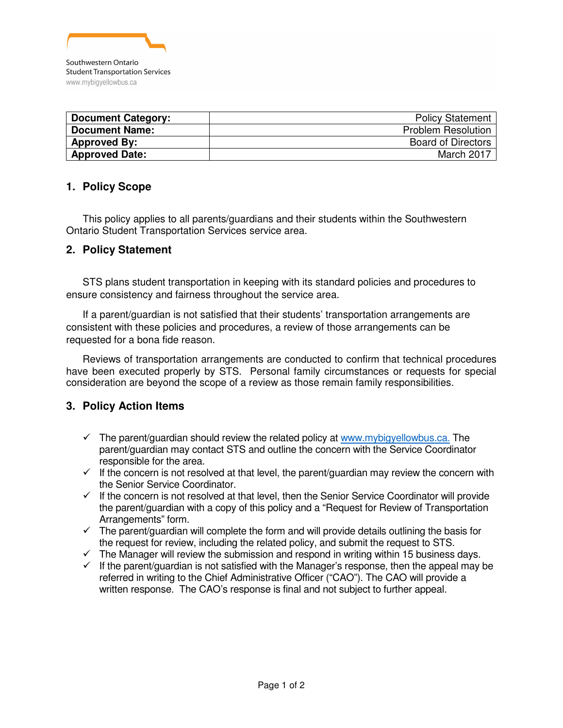

| <b>Document Category:</b> | <b>Policy Statement</b>   |
|---------------------------|---------------------------|
| <b>Document Name:</b>     | <b>Problem Resolution</b> |
| <b>Approved By:</b>       | <b>Board of Directors</b> |
| <b>Approved Date:</b>     | March 2017                |

## **1. Policy Scope**

This policy applies to all parents/guardians and their students within the Southwestern Ontario Student Transportation Services service area.

## **2. Policy Statement**

STS plans student transportation in keeping with its standard policies and procedures to ensure consistency and fairness throughout the service area.

If a parent/guardian is not satisfied that their students' transportation arrangements are consistent with these policies and procedures, a review of those arrangements can be requested for a bona fide reason.

Reviews of transportation arrangements are conducted to confirm that technical procedures have been executed properly by STS. Personal family circumstances or requests for special consideration are beyond the scope of a review as those remain family responsibilities.

## **3. Policy Action Items**

- $\checkmark$  The parent/guardian should review the related policy at www.mybigyellowbus.ca. The parent/guardian may contact STS and outline the concern with the Service Coordinator responsible for the area.
- $\checkmark$  If the concern is not resolved at that level, the parent/guardian may review the concern with the Senior Service Coordinator.
- $\checkmark$  If the concern is not resolved at that level, then the Senior Service Coordinator will provide the parent/guardian with a copy of this policy and a "Request for Review of Transportation Arrangements" form.
- $\checkmark$  The parent/guardian will complete the form and will provide details outlining the basis for the request for review, including the related policy, and submit the request to STS.
- $\checkmark$  The Manager will review the submission and respond in writing within 15 business days.
- $\checkmark$  If the parent/guardian is not satisfied with the Manager's response, then the appeal may be referred in writing to the Chief Administrative Officer ("CAO"). The CAO will provide a written response. The CAO's response is final and not subject to further appeal.